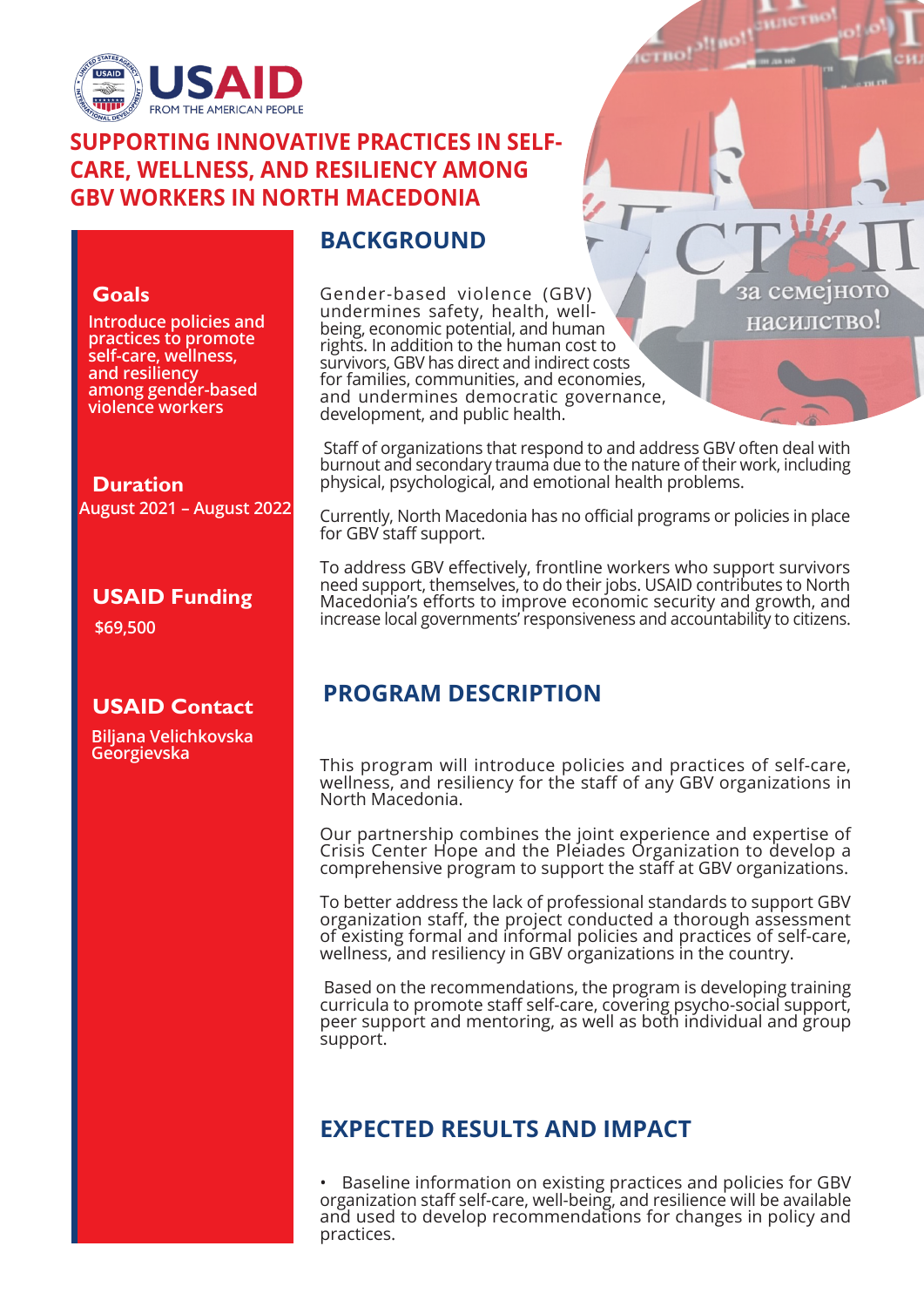

#### **SUPPORTING INNOVATIVE PRACTICES IN SELF-CARE, WELLNESS, AND RESILIENCY AMONG GBV WORKERS IN NORTH MACEDONIA**

#### **BACKGROUND**

#### **Goals**

**Introduce policies and practices to promote self-care, wellness, and resiliency among gender-based violence workers**

**August 2021 – August 2022 Duration**

**USAID Funding**

**\$69,500**

# **USAID Contact**

**Biljana Velichkovska Georgievska**

Gender-based violence (GBV) undermines safety, health, wellbeing, economic potential, and human rights. In addition to the human cost to survivors, GBV has direct and indirect costs for families, communities, and economies, and undermines democratic governance, development, and public health.

 Staff of organizations that respond to and address GBV often deal with burnout and secondary trauma due to the nature of their work, including physical, psychological, and emotional health problems.

за семејнотс насилство!

Currently, North Macedonia has no official programs or policies in place for GBV staff support.

To address GBV effectively, frontline workers who support survivors need support, themselves, to do their jobs. USAID contributes to North Macedonia's efforts to improve economic security and growth, and increase local governments' responsiveness and accountability to citizens.

# **PROGRAM DESCRIPTION**

This program will introduce policies and practices of self-care, wellness, and resiliency for the staff of any GBV organizations in North Macedonia.

Our partnership combines the joint experience and expertise of Crisis Center Hope and the Pleiades Organization to develop a comprehensive program to support the staff at GBV organizations.

To better address the lack of professional standards to support GBV organization staff, the project conducted a thorough assessment of existing formal and informal policies and practices of self-care, wellness, and resiliency in GBV organizations in the country.

 Based on the recommendations, the program is developing training curricula to promote staff self-care, covering psycho-social support, peer support and mentoring, as well as both individual and group support.

# **EXPECTED RESULTS AND IMPACT**

• Baseline information on existing practices and policies for GBV organization staff self-care, well-being, and resilience will be available and used to develop recommendations for changes in policy and practices.